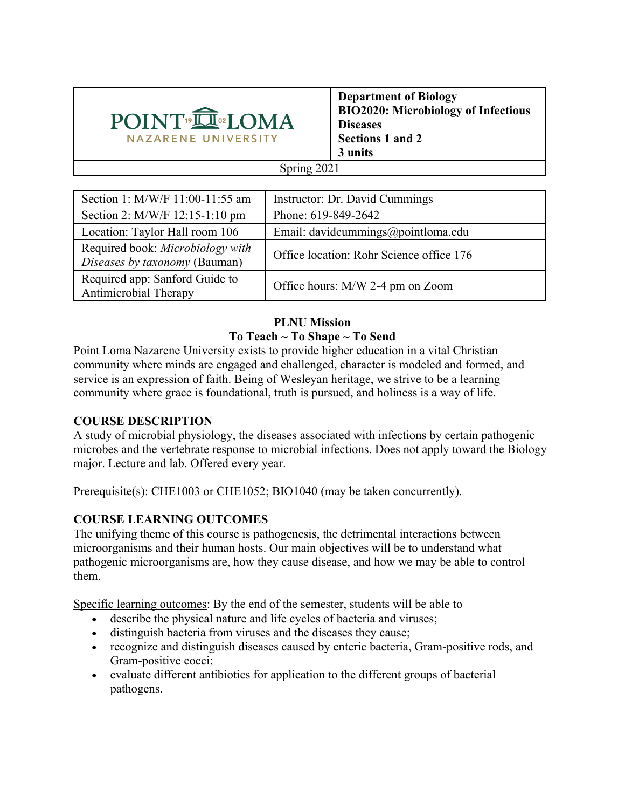

**Department of Biology BIO2020: Microbiology of Infectious Diseases Sections 1 and 2 3 units**

### Spring 2021

| Section 1: M/W/F 11:00-11:55 am                                   | Instructor: Dr. David Cummings           |
|-------------------------------------------------------------------|------------------------------------------|
| Section 2: M/W/F 12:15-1:10 pm                                    | Phone: 619-849-2642                      |
| Location: Taylor Hall room 106                                    | Email: davidcummings@pointloma.edu       |
| Required book: Microbiology with<br>Diseases by taxonomy (Bauman) | Office location: Rohr Science office 176 |
| Required app: Sanford Guide to<br>Antimicrobial Therapy           | Office hours: M/W 2-4 pm on Zoom         |

#### **PLNU Mission To Teach ~ To Shape ~ To Send**

Point Loma Nazarene University exists to provide higher education in a vital Christian community where minds are engaged and challenged, character is modeled and formed, and service is an expression of faith. Being of Wesleyan heritage, we strive to be a learning community where grace is foundational, truth is pursued, and holiness is a way of life.

## **COURSE DESCRIPTION**

A study of microbial physiology, the diseases associated with infections by certain pathogenic microbes and the vertebrate response to microbial infections. Does not apply toward the Biology major. Lecture and lab. Offered every year.

Prerequisite(s): CHE1003 or CHE1052; BIO1040 (may be taken concurrently).

# **COURSE LEARNING OUTCOMES**

The unifying theme of this course is pathogenesis, the detrimental interactions between microorganisms and their human hosts. Our main objectives will be to understand what pathogenic microorganisms are, how they cause disease, and how we may be able to control them.

Specific learning outcomes: By the end of the semester, students will be able to

- describe the physical nature and life cycles of bacteria and viruses;
- distinguish bacteria from viruses and the diseases they cause;
- recognize and distinguish diseases caused by enteric bacteria, Gram-positive rods, and Gram-positive cocci;
- evaluate different antibiotics for application to the different groups of bacterial pathogens.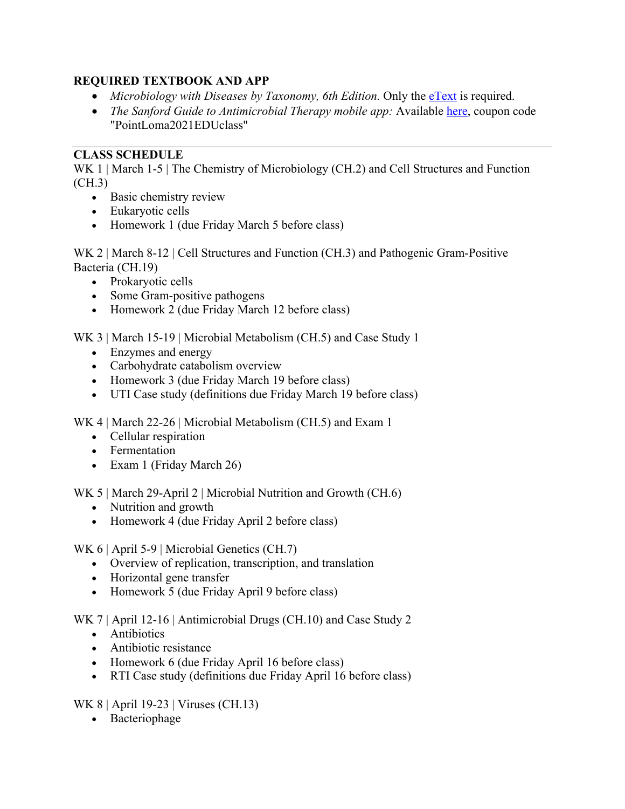# **REQUIRED TEXTBOOK AND APP**

- *Microbiology with Diseases by Taxonomy, 6th Edition.* Only the eText is required.
- *The Sanford Guide to Antimicrobial Therapy mobile app:* Available here, coupon code "PointLoma2021EDUclass"

# **CLASS SCHEDULE**

WK 1 | March 1-5 | The Chemistry of Microbiology (CH.2) and Cell Structures and Function (CH.3)

- Basic chemistry review
- Eukaryotic cells
- Homework 1 (due Friday March 5 before class)

WK 2 | March 8-12 | Cell Structures and Function (CH.3) and Pathogenic Gram-Positive Bacteria (CH.19)

- Prokaryotic cells
- Some Gram-positive pathogens
- Homework 2 (due Friday March 12 before class)

WK 3 | March 15-19 | Microbial Metabolism (CH.5) and Case Study 1

- Enzymes and energy
- Carbohydrate catabolism overview
- Homework 3 (due Friday March 19 before class)
- UTI Case study (definitions due Friday March 19 before class)

WK 4 | March 22-26 | Microbial Metabolism (CH.5) and Exam 1

- Cellular respiration
- Fermentation
- Exam 1 (Friday March 26)

WK 5 | March 29-April 2 | Microbial Nutrition and Growth (CH.6)

- Nutrition and growth
- Homework 4 (due Friday April 2 before class)

WK 6 | April 5-9 | Microbial Genetics (CH.7)

- Overview of replication, transcription, and translation
- Horizontal gene transfer
- Homework 5 (due Friday April 9 before class)

WK 7 | April 12-16 | Antimicrobial Drugs (CH.10) and Case Study 2

- Antibiotics
- Antibiotic resistance
- Homework 6 (due Friday April 16 before class)
- RTI Case study (definitions due Friday April 16 before class)

WK 8 | April 19-23 | Viruses (CH.13)

• Bacteriophage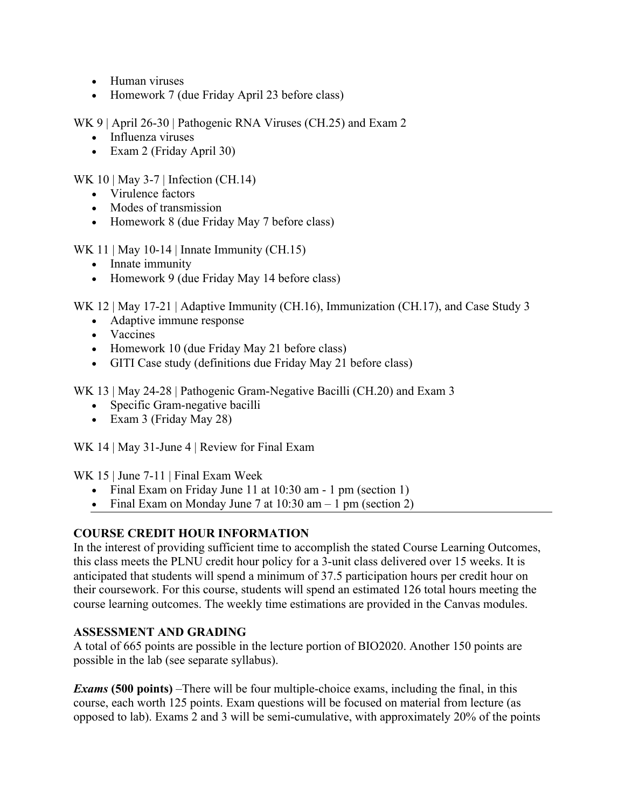- Human viruses
- Homework 7 (due Friday April 23 before class)

WK 9 | April 26-30 | Pathogenic RNA Viruses (CH.25) and Exam 2

- Influenza viruses
- Exam 2 (Friday April 30)

WK 10 | May 3-7 | Infection (CH.14)

- Virulence factors
- Modes of transmission
- Homework 8 (due Friday May 7 before class)

WK 11 | May 10-14 | Innate Immunity  $(CH.15)$ 

- Innate immunity
- Homework 9 (due Friday May 14 before class)

WK 12 | May 17-21 | Adaptive Immunity (CH.16), Immunization (CH.17), and Case Study 3

- Adaptive immune response
- Vaccines
- Homework 10 (due Friday May 21 before class)
- GITI Case study (definitions due Friday May 21 before class)

WK 13 | May 24-28 | Pathogenic Gram-Negative Bacilli (CH.20) and Exam 3

- Specific Gram-negative bacilli
- Exam 3 (Friday May 28)

WK 14 | May 31-June 4 | Review for Final Exam

WK 15 | June 7-11 | Final Exam Week

- Final Exam on Friday June 11 at 10:30 am 1 pm (section 1)
- Final Exam on Monday June 7 at  $10:30$  am  $-1$  pm (section 2)

# **COURSE CREDIT HOUR INFORMATION**

In the interest of providing sufficient time to accomplish the stated Course Learning Outcomes, this class meets the PLNU credit hour policy for a 3-unit class delivered over 15 weeks. It is anticipated that students will spend a minimum of 37.5 participation hours per credit hour on their coursework. For this course, students will spend an estimated 126 total hours meeting the course learning outcomes. The weekly time estimations are provided in the Canvas modules.

## **ASSESSMENT AND GRADING**

A total of 665 points are possible in the lecture portion of BIO2020. Another 150 points are possible in the lab (see separate syllabus).

*Exams* **(500 points)** –There will be four multiple-choice exams, including the final, in this course, each worth 125 points. Exam questions will be focused on material from lecture (as opposed to lab). Exams 2 and 3 will be semi-cumulative, with approximately 20% of the points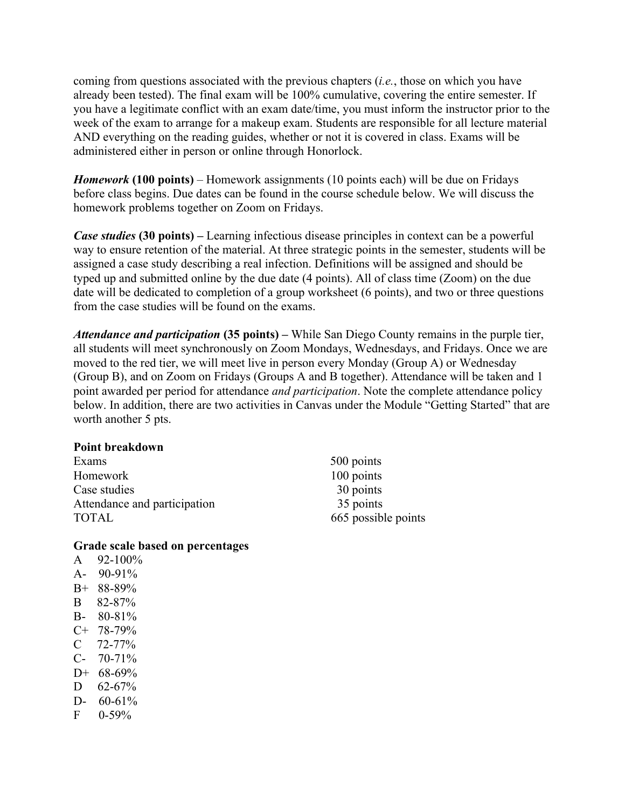coming from questions associated with the previous chapters (*i.e.*, those on which you have already been tested). The final exam will be 100% cumulative, covering the entire semester. If you have a legitimate conflict with an exam date/time, you must inform the instructor prior to the week of the exam to arrange for a makeup exam. Students are responsible for all lecture material AND everything on the reading guides, whether or not it is covered in class. Exams will be administered either in person or online through Honorlock.

*Homework* **(100 points)** – Homework assignments (10 points each) will be due on Fridays before class begins. Due dates can be found in the course schedule below. We will discuss the homework problems together on Zoom on Fridays.

*Case studies* **(30 points) –** Learning infectious disease principles in context can be a powerful way to ensure retention of the material. At three strategic points in the semester, students will be assigned a case study describing a real infection. Definitions will be assigned and should be typed up and submitted online by the due date (4 points). All of class time (Zoom) on the due date will be dedicated to completion of a group worksheet (6 points), and two or three questions from the case studies will be found on the exams.

*Attendance and participation* **(35 points) –** While San Diego County remains in the purple tier, all students will meet synchronously on Zoom Mondays, Wednesdays, and Fridays. Once we are moved to the red tier, we will meet live in person every Monday (Group A) or Wednesday (Group B), and on Zoom on Fridays (Groups A and B together). Attendance will be taken and 1 point awarded per period for attendance *and participation*. Note the complete attendance policy below. In addition, there are two activities in Canvas under the Module "Getting Started" that are worth another 5 pts.

#### **Point breakdown**

| Exams                        |
|------------------------------|
| Homework                     |
| Case studies                 |
| Attendance and participation |
| <b>TOTAL</b>                 |

 $500$  points 100 points 30 points 35 points 665 possible points

#### **Grade scale based on percentages**

A  $92-100\%$ A- 90-91% B+ 88-89% B 82-87% B- 80-81% C+ 78-79%  $C$  72-77% C- 70-71% D+ 68-69%  $D = 62-67%$ D-  $60-61\%$  $F = 0.59\%$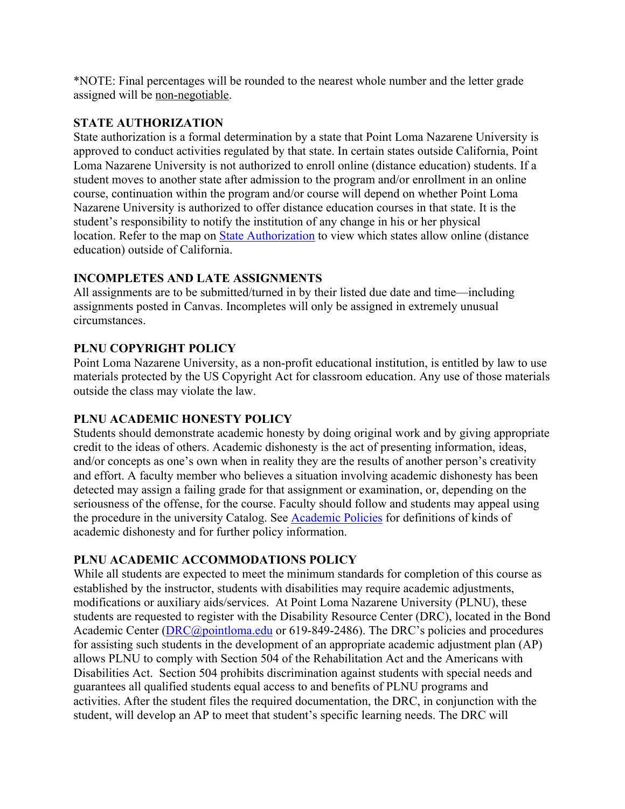\*NOTE: Final percentages will be rounded to the nearest whole number and the letter grade assigned will be non-negotiable.

### **STATE AUTHORIZATION**

State authorization is a formal determination by a state that Point Loma Nazarene University is approved to conduct activities regulated by that state. In certain states outside California, Point Loma Nazarene University is not authorized to enroll online (distance education) students. If a student moves to another state after admission to the program and/or enrollment in an online course, continuation within the program and/or course will depend on whether Point Loma Nazarene University is authorized to offer distance education courses in that state. It is the student's responsibility to notify the institution of any change in his or her physical location. Refer to the map on **State Authorization** to view which states allow online (distance education) outside of California.

# **INCOMPLETES AND LATE ASSIGNMENTS**

All assignments are to be submitted/turned in by their listed due date and time—including assignments posted in Canvas. Incompletes will only be assigned in extremely unusual circumstances.

# **PLNU COPYRIGHT POLICY**

Point Loma Nazarene University, as a non-profit educational institution, is entitled by law to use materials protected by the US Copyright Act for classroom education. Any use of those materials outside the class may violate the law.

## **PLNU ACADEMIC HONESTY POLICY**

Students should demonstrate academic honesty by doing original work and by giving appropriate credit to the ideas of others. Academic dishonesty is the act of presenting information, ideas, and/or concepts as one's own when in reality they are the results of another person's creativity and effort. A faculty member who believes a situation involving academic dishonesty has been detected may assign a failing grade for that assignment or examination, or, depending on the seriousness of the offense, for the course. Faculty should follow and students may appeal using the procedure in the university Catalog. See Academic Policies for definitions of kinds of academic dishonesty and for further policy information.

## **PLNU ACADEMIC ACCOMMODATIONS POLICY**

While all students are expected to meet the minimum standards for completion of this course as established by the instructor, students with disabilities may require academic adjustments, modifications or auxiliary aids/services. At Point Loma Nazarene University (PLNU), these students are requested to register with the Disability Resource Center (DRC), located in the Bond Academic Center (DRC@pointloma.edu or 619-849-2486). The DRC's policies and procedures for assisting such students in the development of an appropriate academic adjustment plan (AP) allows PLNU to comply with Section 504 of the Rehabilitation Act and the Americans with Disabilities Act. Section 504 prohibits discrimination against students with special needs and guarantees all qualified students equal access to and benefits of PLNU programs and activities. After the student files the required documentation, the DRC, in conjunction with the student, will develop an AP to meet that student's specific learning needs. The DRC will